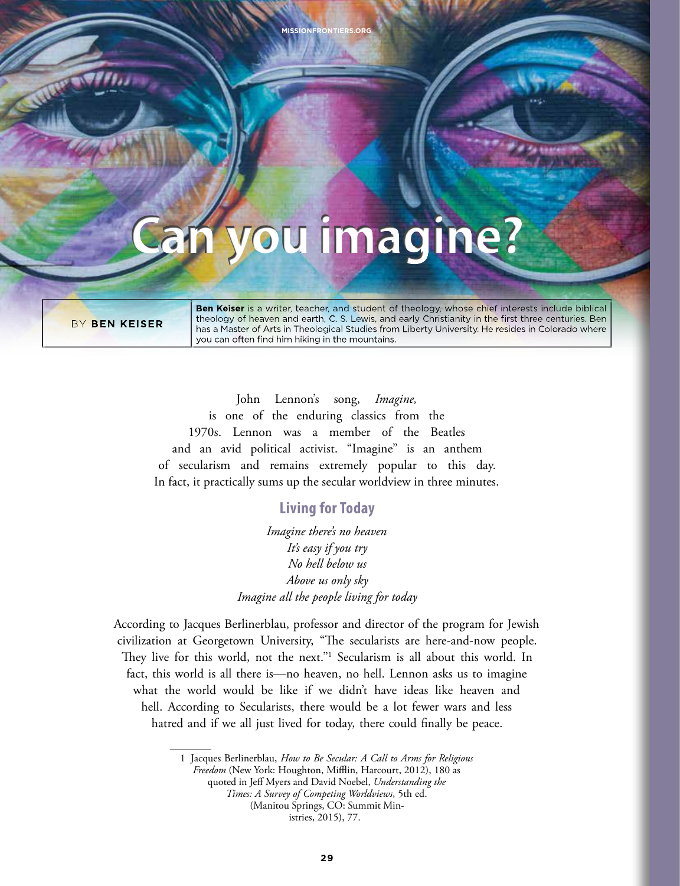## **Can you imagine?**

**MISSIONFRONTIERS.ORG**

BY BEN KEISER

Ben Keiser is a writer, teacher, and student of theology, whose chief interests include biblical theology of heaven and earth, C. S. Lewis, and early Christianity in the first three centuries. Ben has a Master of Arts in Theological Studies from Liberty University. He resides in Colorado where you can often find him hiking in the mountains.

John Lennon's song, *Imagine,* is one of the enduring classics from the 1970s. Lennon was a member of the Beatles and an avid political activist. "Imagine" is an anthem of secularism and remains extremely popular to this day. In fact, it practically sums up the secular worldview in three minutes.

## **Living for Today**

*Imagine there's no heaven It's easy if you try No hell below us Above us only sky Imagine all the people living for today*

According to Jacques Berlinerblau, professor and director of the program for Jewish civilization at Georgetown University, "The secularists are here-and-now people. They live for this world, not the next."<sup>1</sup> Secularism is all about this world. In fact, this world is all there is—no heaven, no hell. Lennon asks us to imagine what the world would be like if we didn't have ideas like heaven and hell. According to Secularists, there would be a lot fewer wars and less hatred and if we all just lived for today, there could finally be peace.

> 1 Jacques Berlinerblau, *How to Be Secular: A Call to Arms for Religious Freedom* (New York: Houghton, Mifflin, Harcourt, 2012), 180 as quoted in Jeff Myers and David Noebel, *Understanding the Times: A Survey of Competing Worldviews*, 5th ed. (Manitou Springs, CO: Summit Min-

> > istries, 2015), 77.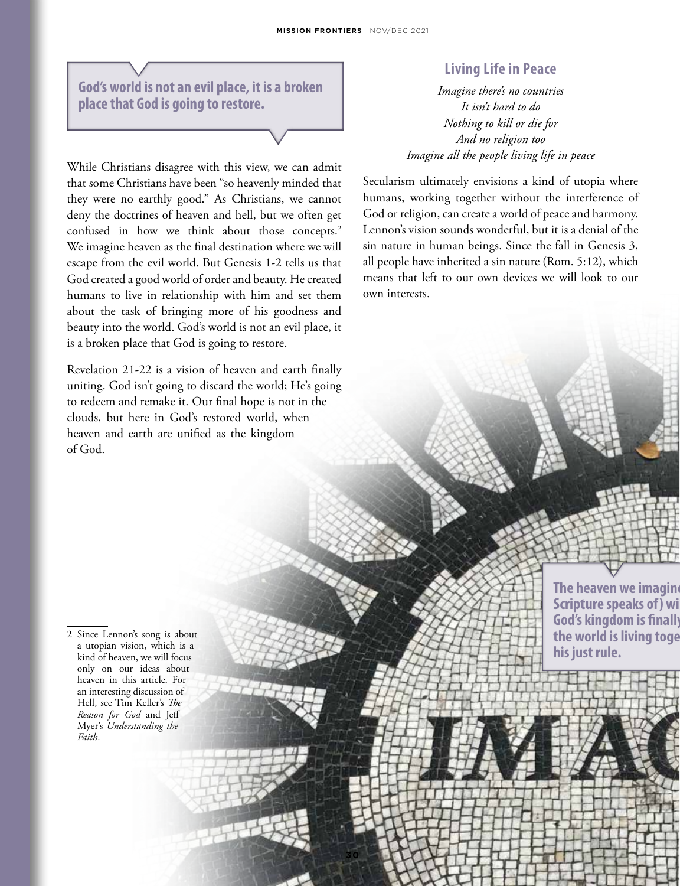**30**

**God's world is not an evil place, it is a broken place that God is going to restore.**

While Christians disagree with this view, we can admit that some Christians have been "so heavenly minded that they were no earthly good." As Christians, we cannot deny the doctrines of heaven and hell, but we often get confused in how we think about those concepts.<sup>2</sup> We imagine heaven as the final destination where we will escape from the evil world. But Genesis 1-2 tells us that God created a good world of order and beauty. He created humans to live in relationship with him and set them about the task of bringing more of his goodness and beauty into the world. God's world is not an evil place, it is a broken place that God is going to restore.

Revelation 21-22 is a vision of heaven and earth finally uniting. God isn't going to discard the world; He's going to redeem and remake it. Our final hope is not in the clouds, but here in God's restored world, when heaven and earth are unified as the kingdom of God.

## **Living Life in Peace**

*Imagine there's no countries It isn't hard to do Nothing to kill or die for And no religion too Imagine all the people living life in peace*

Secularism ultimately envisions a kind of utopia where humans, working together without the interference of God or religion, can create a world of peace and harmony. Lennon's vision sounds wonderful, but it is a denial of the sin nature in human beings. Since the fall in Genesis 3, all people have inherited a sin nature (Rom. 5:12), which means that left to our own devices we will look to our own interests.

2 Since Lennon's song is about a utopian vision, which is a kind of heaven, we will focus only on our ideas about heaven in this article. For an interesting discussion of Hell, see Tim Keller's *The Reason for God* and Jeff Myer's *Understanding the Faith*.

**The heaven we imagine Scripture speaks of) will God's kingdom is finally the world is living toge his just rule.**